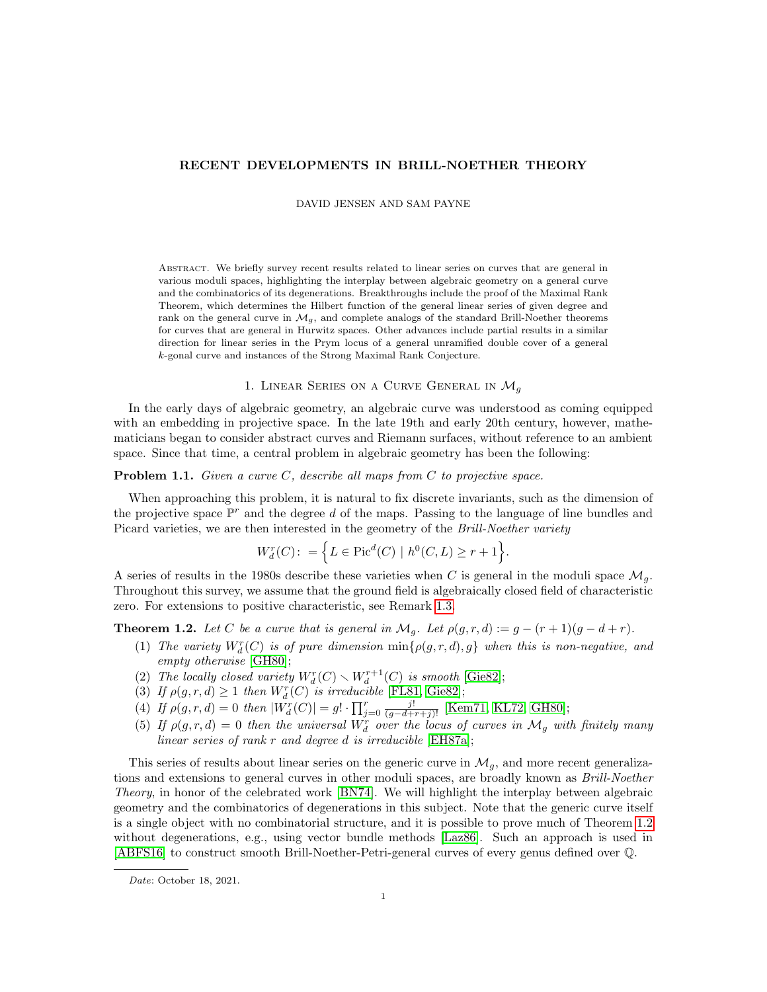# RECENT DEVELOPMENTS IN BRILL-NOETHER THEORY

DAVID JENSEN AND SAM PAYNE

Abstract. We briefly survey recent results related to linear series on curves that are general in various moduli spaces, highlighting the interplay between algebraic geometry on a general curve and the combinatorics of its degenerations. Breakthroughs include the proof of the Maximal Rank Theorem, which determines the Hilbert function of the general linear series of given degree and rank on the general curve in  $\mathcal{M}_g$ , and complete analogs of the standard Brill-Noether theorems for curves that are general in Hurwitz spaces. Other advances include partial results in a similar direction for linear series in the Prym locus of a general unramified double cover of a general k-gonal curve and instances of the Strong Maximal Rank Conjecture.

# 1. LINEAR SERIES ON A CURVE GENERAL IN  $\mathcal{M}_q$

In the early days of algebraic geometry, an algebraic curve was understood as coming equipped with an embedding in projective space. In the late 19th and early 20th century, however, mathematicians began to consider abstract curves and Riemann surfaces, without reference to an ambient space. Since that time, a central problem in algebraic geometry has been the following:

# <span id="page-0-1"></span>**Problem 1.1.** Given a curve  $C$ , describe all maps from  $C$  to projective space.

When approaching this problem, it is natural to fix discrete invariants, such as the dimension of the projective space  $\mathbb{P}^r$  and the degree d of the maps. Passing to the language of line bundles and Picard varieties, we are then interested in the geometry of the *Brill-Noether variety* 

$$
W_d^r(C) : = \left\{ L \in \text{Pic}^d(C) \mid h^0(C, L) \ge r + 1 \right\}.
$$

A series of results in the 1980s describe these varieties when C is general in the moduli space  $\mathcal{M}_q$ . Throughout this survey, we assume that the ground field is algebraically closed field of characteristic zero. For extensions to positive characteristic, see Remark [1.3.](#page-1-0)

<span id="page-0-0"></span>**Theorem 1.2.** Let C be a curve that is general in  $\mathcal{M}_q$ . Let  $\rho(g, r, d) := g - (r + 1)(g - d + r)$ .

- (1) The variety  $W_d^r(C)$  is of pure dimension  $\min{\{\rho(g,r,d),g\}}$  when this is non-negative, and empty otherwise [\[GH80\]](#page-9-0);
- (2) The locally closed variety  $W_d^r(C) \setminus W_d^{r+1}(C)$  is smooth [\[Gie82\]](#page-9-1);
- (3) If  $\rho(g, r, d) \ge 1$  then  $W_d^r(C)$  is irreducible [\[FL81,](#page-9-2) [Gie82\]](#page-9-1);
- (4) If  $\rho(g, r, d) = 0$  then  $|W_d^r(C)| = g! \cdot \prod_{j=0}^r \frac{j!}{(g-d+r+j)!}$  [\[Kem71,](#page-9-3) [KL72,](#page-9-4) [GH80\]](#page-9-0);
- (5) If  $\rho(g,r,d) = 0$  then the universal  $W_d^r$  over the locus of curves in  $\mathcal{M}_g$  with finitely many linear series of rank r and degree d is irreducible [\[EH87a\]](#page-9-5);

This series of results about linear series on the generic curve in  $\mathcal{M}_q$ , and more recent generalizations and extensions to general curves in other moduli spaces, are broadly known as *Brill-Noether* Theory, in honor of the celebrated work [\[BN74\]](#page-8-0). We will highlight the interplay between algebraic geometry and the combinatorics of degenerations in this subject. Note that the generic curve itself is a single object with no combinatorial structure, and it is possible to prove much of Theorem [1.2](#page-0-0) without degenerations, e.g., using vector bundle methods [\[Laz86\]](#page-9-6). Such an approach is used in [\[ABFS16\]](#page-8-1) to construct smooth Brill-Noether-Petri-general curves of every genus defined over Q.

Date: October 18, 2021.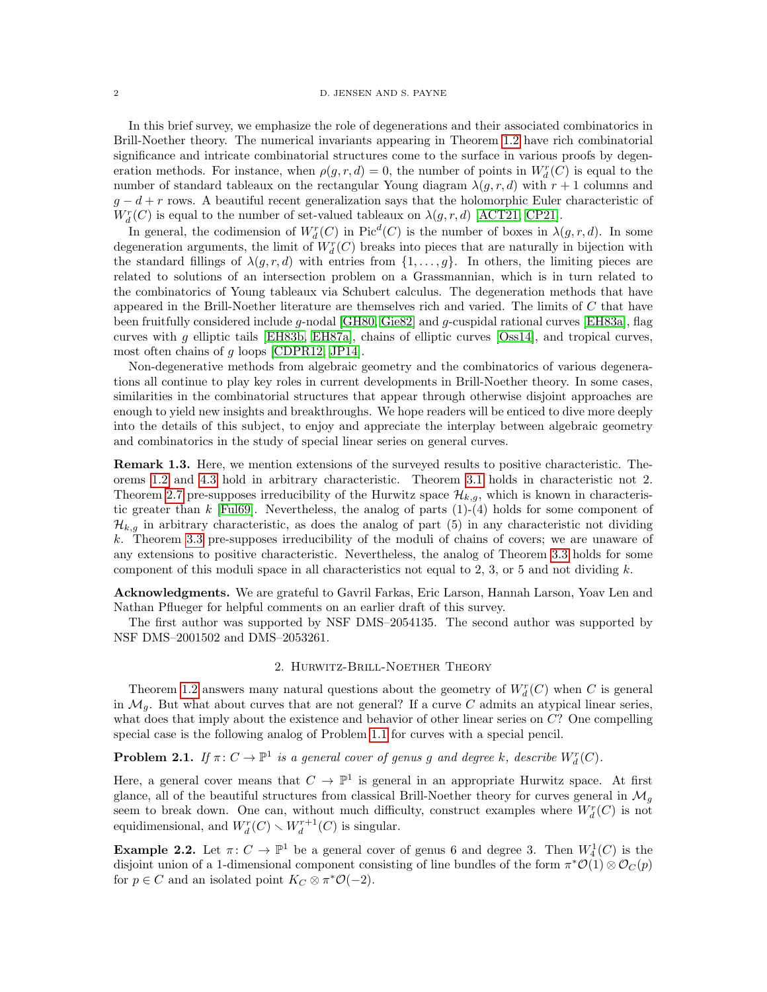In this brief survey, we emphasize the role of degenerations and their associated combinatorics in Brill-Noether theory. The numerical invariants appearing in Theorem [1.2](#page-0-0) have rich combinatorial significance and intricate combinatorial structures come to the surface in various proofs by degeneration methods. For instance, when  $\rho(g, r, d) = 0$ , the number of points in  $W_d^r(C)$  is equal to the number of standard tableaux on the rectangular Young diagram  $\lambda(g, r, d)$  with  $r + 1$  columns and  $g - d + r$  rows. A beautiful recent generalization says that the holomorphic Euler characteristic of  $W_d^r(C)$  is equal to the number of set-valued tableaux on  $\lambda(g, r, d)$  [\[ACT21,](#page-8-2) [CP21\]](#page-9-7).

In general, the codimension of  $W_d^r(C)$  in  $Pic^d(C)$  is the number of boxes in  $\lambda(g, r, d)$ . In some degeneration arguments, the limit of  $W_d^r(C)$  breaks into pieces that are naturally in bijection with the standard fillings of  $\lambda(g, r, d)$  with entries from  $\{1, \ldots, g\}$ . In others, the limiting pieces are related to solutions of an intersection problem on a Grassmannian, which is in turn related to the combinatorics of Young tableaux via Schubert calculus. The degeneration methods that have appeared in the Brill-Noether literature are themselves rich and varied. The limits of C that have been fruitfully considered include g-nodal [\[GH80,](#page-9-0) [Gie82\]](#page-9-1) and g-cuspidal rational curves [\[EH83a\]](#page-9-8), flag curves with g elliptic tails [\[EH83b,](#page-9-9) [EH87a\]](#page-9-5), chains of elliptic curves [\[Oss14\]](#page-9-10), and tropical curves, most often chains of g loops [\[CDPR12,](#page-8-3) [JP14\]](#page-9-11).

Non-degenerative methods from algebraic geometry and the combinatorics of various degenerations all continue to play key roles in current developments in Brill-Noether theory. In some cases, similarities in the combinatorial structures that appear through otherwise disjoint approaches are enough to yield new insights and breakthroughs. We hope readers will be enticed to dive more deeply into the details of this subject, to enjoy and appreciate the interplay between algebraic geometry and combinatorics in the study of special linear series on general curves.

<span id="page-1-0"></span>Remark 1.3. Here, we mention extensions of the surveyed results to positive characteristic. Theorems [1.2](#page-0-0) and [4.3](#page-7-0) hold in arbitrary characteristic. Theorem [3.1](#page-4-0) holds in characteristic not 2. Theorem [2.7](#page-3-0) pre-supposes irreducibility of the Hurwitz space  $\mathcal{H}_{k,g}$ , which is known in characteristic greater than  $k$  [\[Ful69\]](#page-9-12). Nevertheless, the analog of parts  $(1)-(4)$  holds for some component of  $\mathcal{H}_{k,q}$  in arbitrary characteristic, as does the analog of part (5) in any characteristic not dividing k. Theorem [3.3](#page-5-0) pre-supposes irreducibility of the moduli of chains of covers; we are unaware of any extensions to positive characteristic. Nevertheless, the analog of Theorem [3.3](#page-5-0) holds for some component of this moduli space in all characteristics not equal to 2, 3, or 5 and not dividing  $k$ .

Acknowledgments. We are grateful to Gavril Farkas, Eric Larson, Hannah Larson, Yoav Len and Nathan Pflueger for helpful comments on an earlier draft of this survey.

The first author was supported by NSF DMS–2054135. The second author was supported by NSF DMS–2001502 and DMS–2053261.

## 2. Hurwitz-Brill-Noether Theory

<span id="page-1-2"></span>Theorem [1.2](#page-0-0) answers many natural questions about the geometry of  $W_d^r(C)$  when C is general in  $\mathcal{M}_q$ . But what about curves that are not general? If a curve C admits an atypical linear series, what does that imply about the existence and behavior of other linear series on C? One compelling special case is the following analog of Problem [1.1](#page-0-1) for curves with a special pencil.

**Problem 2.1.** If  $\pi: C \to \mathbb{P}^1$  is a general cover of genus g and degree k, describe  $W_d^r(C)$ .

Here, a general cover means that  $C \to \mathbb{P}^1$  is general in an appropriate Hurwitz space. At first glance, all of the beautiful structures from classical Brill-Noether theory for curves general in  $\mathcal{M}_q$ seem to break down. One can, without much difficulty, construct examples where  $W_d^r(C)$  is not equidimensional, and  $W_d^r(C) \setminus W_d^{r+1}(C)$  is singular.

<span id="page-1-1"></span>**Example 2.2.** Let  $\pi: C \to \mathbb{P}^1$  be a general cover of genus 6 and degree 3. Then  $W_4^1(C)$  is the disjoint union of a 1-dimensional component consisting of line bundles of the form  $\pi^* \mathcal{O}(1) \otimes \mathcal{O}_C(p)$ for  $p \in C$  and an isolated point  $K_C \otimes \pi^* \mathcal{O}(-2)$ .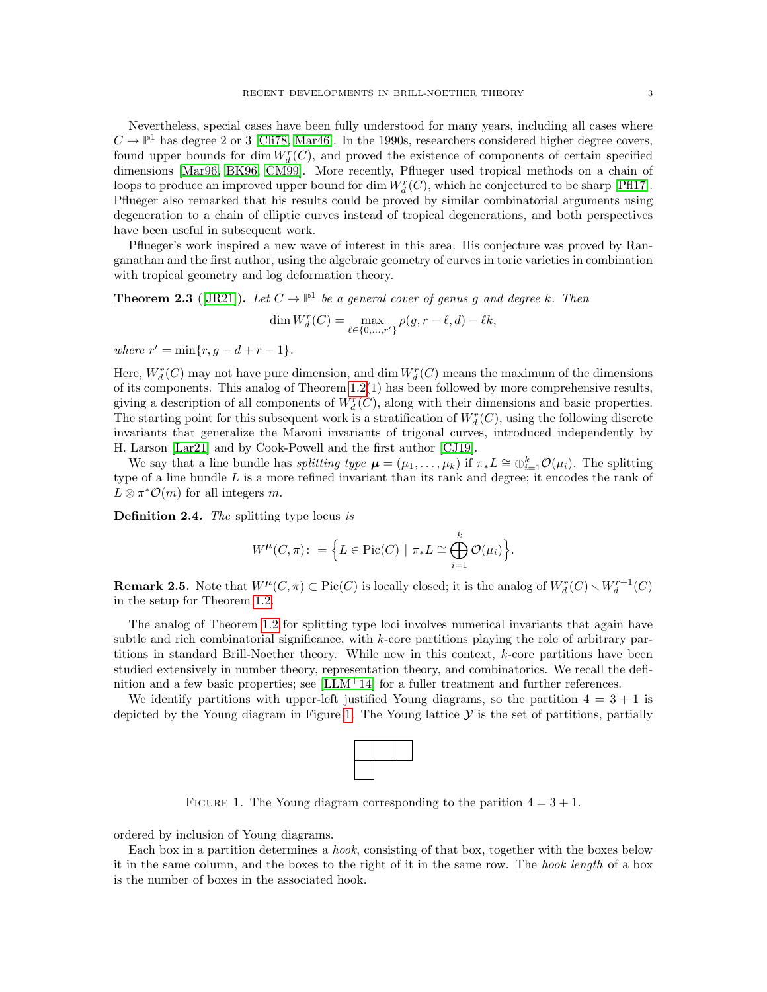Nevertheless, special cases have been fully understood for many years, including all cases where  $C \to \mathbb{P}^1$  has degree 2 or 3 [\[Cli78,](#page-8-4) [Mar46\]](#page-9-13). In the 1990s, researchers considered higher degree covers, found upper bounds for  $\dim W_d^r(C)$ , and proved the existence of components of certain specified dimensions [\[Mar96,](#page-9-14) [BK96,](#page-8-5) [CM99\]](#page-8-6). More recently, Pflueger used tropical methods on a chain of loops to produce an improved upper bound for dim  $W_d^r(C)$ , which he conjectured to be sharp [\[Pfl17\]](#page-10-0). Pflueger also remarked that his results could be proved by similar combinatorial arguments using degeneration to a chain of elliptic curves instead of tropical degenerations, and both perspectives have been useful in subsequent work.

Pflueger's work inspired a new wave of interest in this area. His conjecture was proved by Ranganathan and the first author, using the algebraic geometry of curves in toric varieties in combination with tropical geometry and log deformation theory.

**Theorem 2.3** ([\[JR21\]](#page-9-15)). Let  $C \to \mathbb{P}^1$  be a general cover of genus g and degree k. Then

$$
\dim W_d^r(C) = \max_{\ell \in \{0, ..., r'\}} \rho(g, r - \ell, d) - \ell k,
$$

where  $r' = \min\{r, g - d + r - 1\}.$ 

Here,  $W_d^r(C)$  may not have pure dimension, and dim  $W_d^r(C)$  means the maximum of the dimensions of its components. This analog of Theorem [1.2\(](#page-0-0)1) has been followed by more comprehensive results, giving a description of all components of  $W_d^r(C)$ , along with their dimensions and basic properties. The starting point for this subsequent work is a stratification of  $W_d^r(C)$ , using the following discrete invariants that generalize the Maroni invariants of trigonal curves, introduced independently by H. Larson [\[Lar21\]](#page-9-16) and by Cook-Powell and the first author [\[CJ19\]](#page-8-7).

We say that a line bundle has *splitting type*  $\mu = (\mu_1, \ldots, \mu_k)$  if  $\pi_* L \cong \bigoplus_{i=1}^k \mathcal{O}(\mu_i)$ . The splitting type of a line bundle  $L$  is a more refined invariant than its rank and degree; it encodes the rank of  $L \otimes \pi^* \mathcal{O}(m)$  for all integers m.

Definition 2.4. The splitting type locus is

$$
W^{\mu}(C,\pi): = \Big\{ L \in \text{Pic}(C) \mid \pi_*L \cong \bigoplus_{i=1}^k \mathcal{O}(\mu_i) \Big\}.
$$

**Remark 2.5.** Note that  $W^{\mu}(C, \pi) \subset Pic(C)$  is locally closed; it is the analog of  $W_d^r(C) \setminus W_d^{r+1}(C)$ in the setup for Theorem [1.2.](#page-0-0)

The analog of Theorem [1.2](#page-0-0) for splitting type loci involves numerical invariants that again have subtle and rich combinatorial significance, with  $k$ -core partitions playing the role of arbitrary partitions in standard Brill-Noether theory. While new in this context, k-core partitions have been studied extensively in number theory, representation theory, and combinatorics. We recall the definition and a few basic properties; see  $[LM+14]$  for a fuller treatment and further references.

We identify partitions with upper-left justified Young diagrams, so the partition  $4 = 3 + 1$  is depicted by the Young diagram in Figure [1.](#page-2-0) The Young lattice  $\mathcal Y$  is the set of partitions, partially



<span id="page-2-0"></span>FIGURE 1. The Young diagram corresponding to the parition  $4 = 3 + 1$ .

ordered by inclusion of Young diagrams.

Each box in a partition determines a hook, consisting of that box, together with the boxes below it in the same column, and the boxes to the right of it in the same row. The hook length of a box is the number of boxes in the associated hook.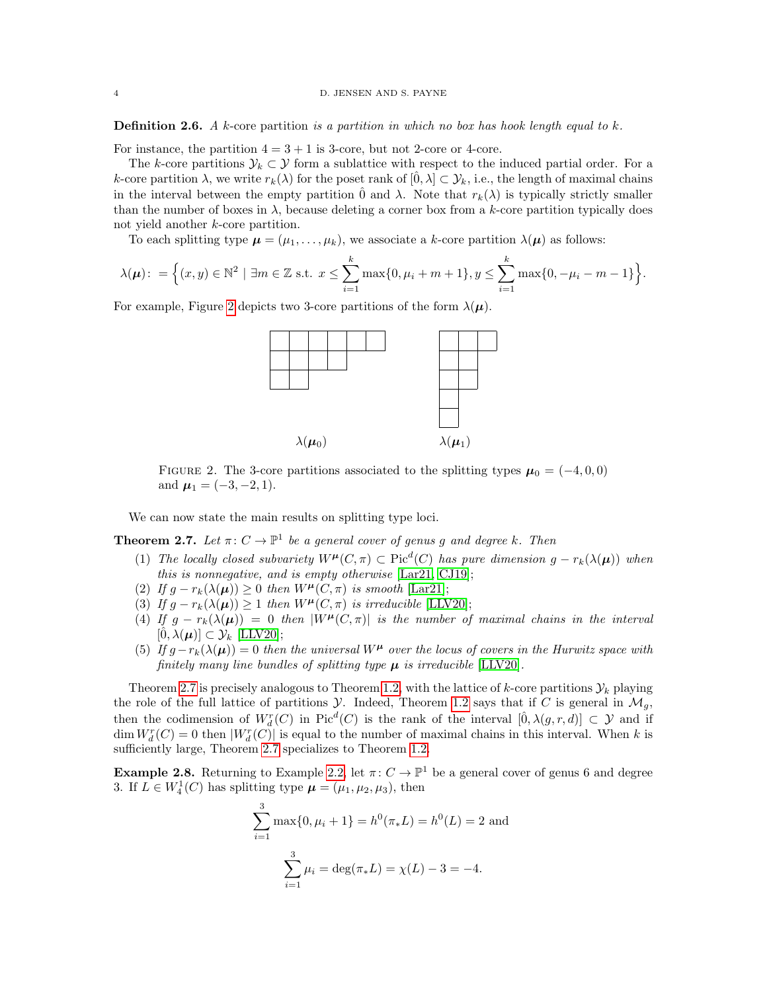**Definition 2.6.** A k-core partition is a partition in which no box has hook length equal to k.

For instance, the partition  $4 = 3 + 1$  is 3-core, but not 2-core or 4-core.

The k-core partitions  $\mathcal{Y}_k \subset \mathcal{Y}$  form a sublattice with respect to the induced partial order. For a k-core partition  $\lambda$ , we write  $r_k(\lambda)$  for the poset rank of  $[\hat{0}, \lambda] \subset \mathcal{Y}_k$ , i.e., the length of maximal chains in the interval between the empty partition  $\hat{0}$  and  $\lambda$ . Note that  $r_k(\lambda)$  is typically strictly smaller than the number of boxes in  $\lambda$ , because deleting a corner box from a k-core partition typically does not yield another k-core partition.

To each splitting type  $\mu = (\mu_1, \dots, \mu_k)$ , we associate a k-core partition  $\lambda(\mu)$  as follows:

$$
\lambda(\mu): = \Big\{(x, y) \in \mathbb{N}^2 \mid \exists m \in \mathbb{Z} \text{ s.t. } x \leq \sum_{i=1}^k \max\{0, \mu_i + m + 1\}, y \leq \sum_{i=1}^k \max\{0, -\mu_i - m - 1\}\Big\}.
$$

For example, Figure [2](#page-3-1) depicts two 3-core partitions of the form  $\lambda(\mu)$ .



<span id="page-3-1"></span>FIGURE 2. The 3-core partitions associated to the splitting types  $\mu_0 = (-4, 0, 0)$ and  $\mu_1 = (-3, -2, 1)$ .

We can now state the main results on splitting type loci.

<span id="page-3-0"></span>**Theorem 2.7.** Let  $\pi: C \to \mathbb{P}^1$  be a general cover of genus g and degree k. Then

- (1) The locally closed subvariety  $W^{\mu}(C, \pi) \subset Pic^{d}(C)$  has pure dimension  $g r_{k}(\lambda(\mu))$  when this is nonnegative, and is empty otherwise [\[Lar21,](#page-9-16) [CJ19\]](#page-8-7);
- (2) If  $q r_k(\lambda(\mu)) \geq 0$  then  $W^{\mu}(C, \pi)$  is smooth [\[Lar21\]](#page-9-16);
- (3) If  $g r_k(\lambda(\mu)) \geq 1$  then  $W^{\mu}(C, \pi)$  is irreducible [\[LLV20\]](#page-9-18);
- (4) If  $g r_k(\lambda(\mu)) = 0$  then  $|W^{\mu}(C, \pi)|$  is the number of maximal chains in the interval  $[0, \lambda(\mu)] \subset \mathcal{Y}_k$  [\[LLV20\]](#page-9-18);
- (5) If  $q-r_k(\lambda(\mu))=0$  then the universal  $W^{\mu}$  over the locus of covers in the Hurwitz space with finitely many line bundles of splitting type  $\mu$  is irreducible [\[LLV20\]](#page-9-18).

Theorem [2.7](#page-3-0) is precisely analogous to Theorem [1.2,](#page-0-0) with the lattice of k-core partitions  $\mathcal{Y}_k$  playing the role of the full lattice of partitions  $\mathcal Y$ . Indeed, Theorem [1.2](#page-0-0) says that if C is general in  $\mathcal M_q$ , then the codimension of  $W_d^r(C)$  in  $Pic^d(C)$  is the rank of the interval  $[\hat{0}, \lambda(g, r, d)] \subset \mathcal{Y}$  and if  $\dim W_d^r(C) = 0$  then  $|W_d^r(C)|$  is equal to the number of maximal chains in this interval. When k is sufficiently large, Theorem [2.7](#page-3-0) specializes to Theorem [1.2.](#page-0-0)

**Example 2.8.** Returning to Example [2.2,](#page-1-1) let  $\pi: C \to \mathbb{P}^1$  be a general cover of genus 6 and degree 3. If  $L \in W_4^1(C)$  has splitting type  $\boldsymbol{\mu} = (\mu_1, \mu_2, \mu_3)$ , then

$$
\sum_{i=1}^{3} \max\{0, \mu_i + 1\} = h^0(\pi_* L) = h^0(L) = 2
$$
 and  

$$
\sum_{i=1}^{3} \mu_i = \deg(\pi_* L) = \chi(L) - 3 = -4.
$$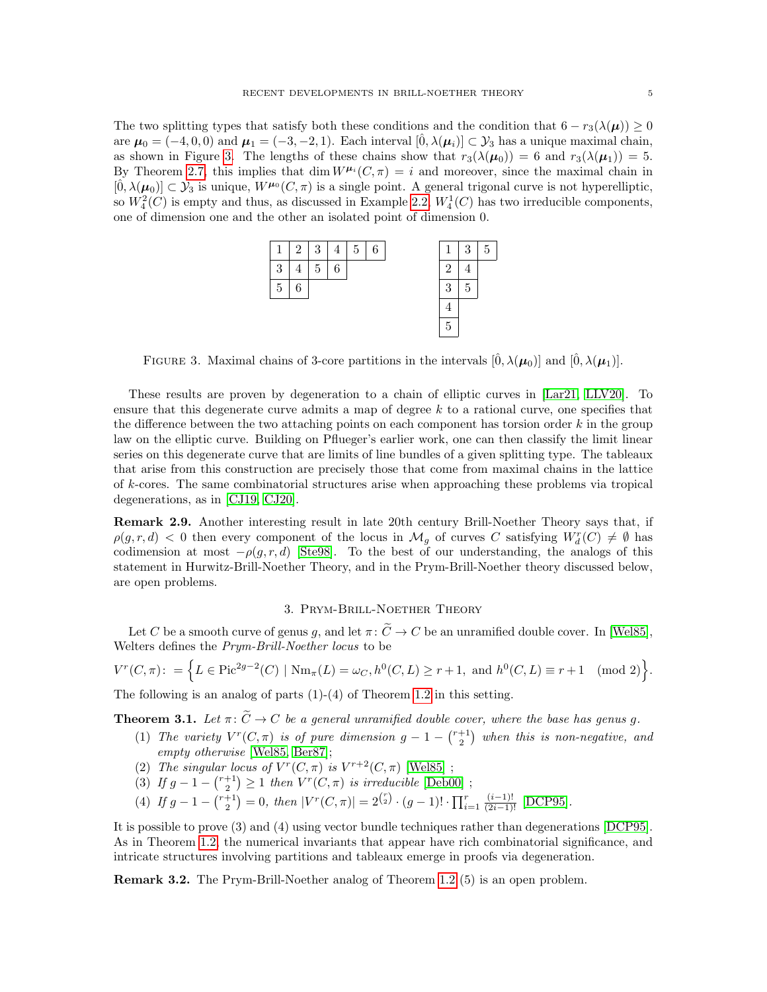The two splitting types that satisfy both these conditions and the condition that  $6 - r_3(\lambda(\mu)) \ge 0$ are  $\mu_0 = (-4, 0, 0)$  and  $\mu_1 = (-3, -2, 1)$ . Each interval  $[\hat{0}, \lambda(\mu_i)] \subset \mathcal{Y}_3$  has a unique maximal chain, as shown in Figure [3.](#page-4-1) The lengths of these chains show that  $r_3(\lambda(\mu_0)) = 6$  and  $r_3(\lambda(\mu_1)) = 5$ . By Theorem [2.7,](#page-3-0) this implies that dim  $W^{\mu_i}(C, \pi) = i$  and moreover, since the maximal chain in  $[\hat{0}, \lambda(\mu_0)] \subset \mathcal{Y}_3$  is unique,  $W^{\mu_0}(C, \pi)$  is a single point. A general trigonal curve is not hyperelliptic, so  $W_4^2(C)$  is empty and thus, as discussed in Example [2.2,](#page-1-1)  $W_4^1(C)$  has two irreducible components, one of dimension one and the other an isolated point of dimension 0.



<span id="page-4-1"></span>FIGURE 3. Maximal chains of 3-core partitions in the intervals  $[\hat{0}, \lambda(\mu_0)]$  and  $[\hat{0}, \lambda(\mu_1)]$ .

These results are proven by degeneration to a chain of elliptic curves in [\[Lar21,](#page-9-16) [LLV20\]](#page-9-18). To ensure that this degenerate curve admits a map of degree  $k$  to a rational curve, one specifies that the difference between the two attaching points on each component has torsion order  $k$  in the group law on the elliptic curve. Building on Pflueger's earlier work, one can then classify the limit linear series on this degenerate curve that are limits of line bundles of a given splitting type. The tableaux that arise from this construction are precisely those that come from maximal chains in the lattice of k-cores. The same combinatorial structures arise when approaching these problems via tropical degenerations, as in [\[CJ19,](#page-8-7) [CJ20\]](#page-8-8).

Remark 2.9. Another interesting result in late 20th century Brill-Noether Theory says that, if  $\rho(g,r,d)$  < 0 then every component of the locus in  $\mathcal{M}_g$  of curves C satisfying  $W_d^r(C) \neq \emptyset$  has codimension at most  $-\rho(g, r, d)$  [\[Ste98\]](#page-10-1). To the best of our understanding, the analogs of this statement in Hurwitz-Brill-Noether Theory, and in the Prym-Brill-Noether theory discussed below, are open problems.

# 3. Prym-Brill-Noether Theory

Let C be a smooth curve of genus g, and let  $\pi: \widetilde{C} \to C$  be an unramified double cover. In [\[Wel85\]](#page-10-2), Welters defines the Prym-Brill-Noether locus to be

$$
V^r(C, \pi) := \left\{ L \in \text{Pic}^{2g-2}(C) \mid \text{Nm}_{\pi}(L) = \omega_C, h^0(C, L) \ge r + 1, \text{ and } h^0(C, L) \equiv r + 1 \pmod{2} \right\}.
$$

The following is an analog of parts  $(1)-(4)$  of Theorem [1.2](#page-0-0) in this setting.

<span id="page-4-0"></span>**Theorem 3.1.** Let  $\pi: \widetilde{C} \to C$  be a general unramified double cover, where the base has genus g.

- (1) The variety  $V^r(C, \pi)$  is of pure dimension  $g-1-{\binom{r+1}{2}}$  when this is non-negative, and empty otherwise [\[Wel85,](#page-10-2) [Ber87\]](#page-8-9);
- (2) The singular locus of  $V^r(C, \pi)$  is  $V^{r+2}(C, \pi)$  [\[Wel85\]](#page-10-2);
- (3) If  $g 1 {r+1 \choose 2} \ge 1$  then  $V^r(C, \pi)$  is irreducible [\[Deb00\]](#page-9-19);
- (4) If  $g 1 {r+1 \choose 2} = 0$ , then  $|V^r(C, \pi)| = 2^{\binom{r}{2}} \cdot (g-1)! \cdot \prod_{i=1}^r \frac{(i-1)!}{(2i-1)!}$  [\[DCP95\]](#page-9-20).

It is possible to prove (3) and (4) using vector bundle techniques rather than degenerations [\[DCP95\]](#page-9-20). As in Theorem [1.2,](#page-0-0) the numerical invariants that appear have rich combinatorial significance, and intricate structures involving partitions and tableaux emerge in proofs via degeneration.

Remark 3.2. The Prym-Brill-Noether analog of Theorem [1.2](#page-0-0) (5) is an open problem.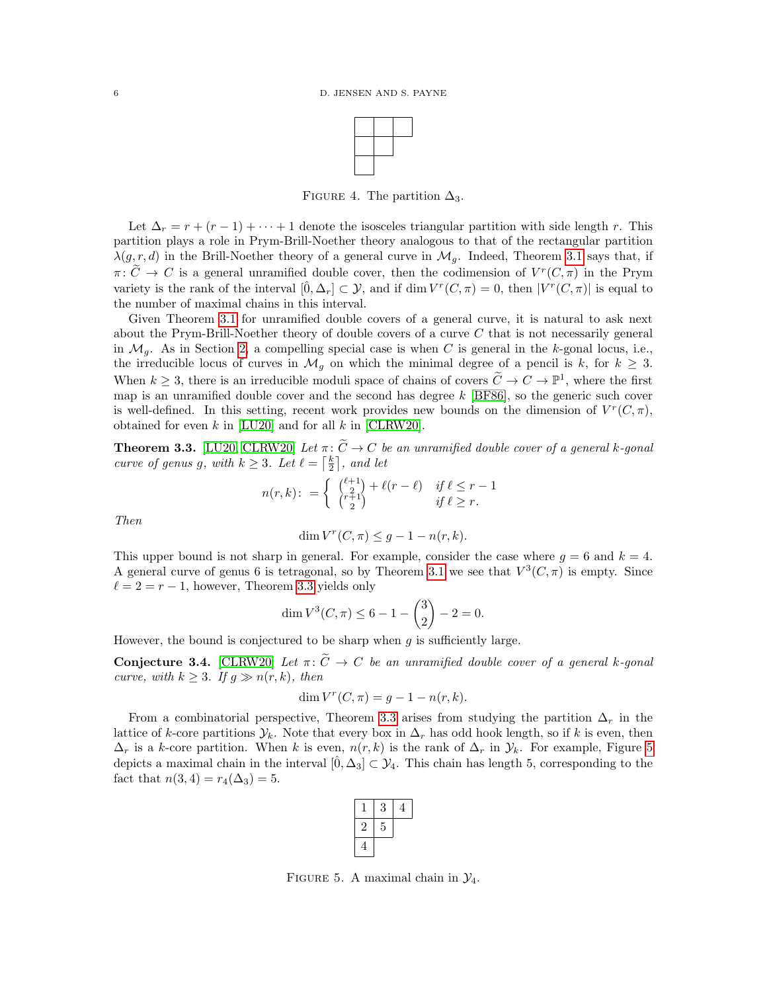

FIGURE 4. The partition  $\Delta_3$ .

Let  $\Delta_r = r + (r - 1) + \cdots + 1$  denote the isosceles triangular partition with side length r. This partition plays a role in Prym-Brill-Noether theory analogous to that of the rectangular partition  $\lambda(g, r, d)$  in the Brill-Noether theory of a general curve in  $\mathcal{M}_g$ . Indeed, Theorem [3.1](#page-4-0) says that, if  $\pi: \widetilde{C} \to C$  is a general unramified double cover, then the codimension of  $V^r(C, \pi)$  in the Prym variety is the rank of the interval  $[\hat{0}, \Delta_r] \subset \mathcal{Y}$ , and if  $\dim V^r(C, \pi) = 0$ , then  $|V^r(C, \pi)|$  is equal to the number of maximal chains in this interval.

Given Theorem [3.1](#page-4-0) for unramified double covers of a general curve, it is natural to ask next about the Prym-Brill-Noether theory of double covers of a curve C that is not necessarily general in  $\mathcal{M}_q$ . As in Section [2,](#page-1-2) a compelling special case is when C is general in the k-gonal locus, i.e., the irreducible locus of curves in  $\mathcal{M}_g$  on which the minimal degree of a pencil is k, for  $k \geq 3$ . When  $k \geq 3$ , there is an irreducible moduli space of chains of covers  $\widetilde{C} \to C \to \mathbb{P}^1$ , where the first map is an unramified double cover and the second has degree  $k$  [\[BF86\]](#page-8-10), so the generic such cover is well-defined. In this setting, recent work provides new bounds on the dimension of  $V^r(C, \pi)$ , obtained for even  $k$  in [\[LU20\]](#page-9-21) and for all  $k$  in [\[CLRW20\]](#page-8-11).

<span id="page-5-0"></span>**Theorem 3.3.** [\[LU20,](#page-9-21) [CLRW20\]](#page-8-11) Let  $\pi: \widetilde{C} \to C$  be an unramified double cover of a general k-gonal curve of genus g, with  $k \geq 3$ . Let  $\ell = \lceil \frac{k}{2} \rceil$ , and let

$$
n(r,k)\colon=\left\{\begin{array}{cc} \binom{\ell+1}{2}+\ell(r-\ell) & \text{ if } \ell\leq r-1\\ \binom{r+1}{2} & \text{ if } \ell\geq r. \end{array}\right.
$$

Then

$$
\dim V^r(C, \pi) \le g - 1 - n(r, k).
$$

This upper bound is not sharp in general. For example, consider the case where  $g = 6$  and  $k = 4$ . A general curve of genus 6 is tetragonal, so by Theorem [3.1](#page-4-0) we see that  $V^3(C, \pi)$  is empty. Since  $\ell = 2 = r - 1$ , however, Theorem [3.3](#page-5-0) yields only

$$
\dim V^3(C, \pi) \le 6 - 1 - {3 \choose 2} - 2 = 0.
$$

However, the bound is conjectured to be sharp when  $g$  is sufficiently large.

**Conjecture 3.4.** [\[CLRW20\]](#page-8-11) Let  $\pi: \widetilde{C} \to C$  be an unramified double cover of a general k-gonal curve, with  $k \geq 3$ . If  $q \gg n(r, k)$ , then

$$
\dim V^r(C, \pi) = g - 1 - n(r, k).
$$

From a combinatorial perspective, Theorem [3.3](#page-5-0) arises from studying the partition  $\Delta_r$  in the lattice of k-core partitions  $\mathcal{Y}_k$ . Note that every box in  $\Delta_r$  has odd hook length, so if k is even, then  $\Delta_r$  is a k-core partition. When k is even,  $n(r, k)$  is the rank of  $\Delta_r$  in  $\mathcal{Y}_k$ . For example, Figure [5](#page-5-1) depicts a maximal chain in the interval  $[\hat{0}, \Delta_3] \subset \mathcal{Y}_4$ . This chain has length 5, corresponding to the fact that  $n(3, 4) = r_4(\Delta_3) = 5$ .

| N |  |
|---|--|
|   |  |
|   |  |

<span id="page-5-1"></span>FIGURE 5. A maximal chain in  $\mathcal{Y}_4$ .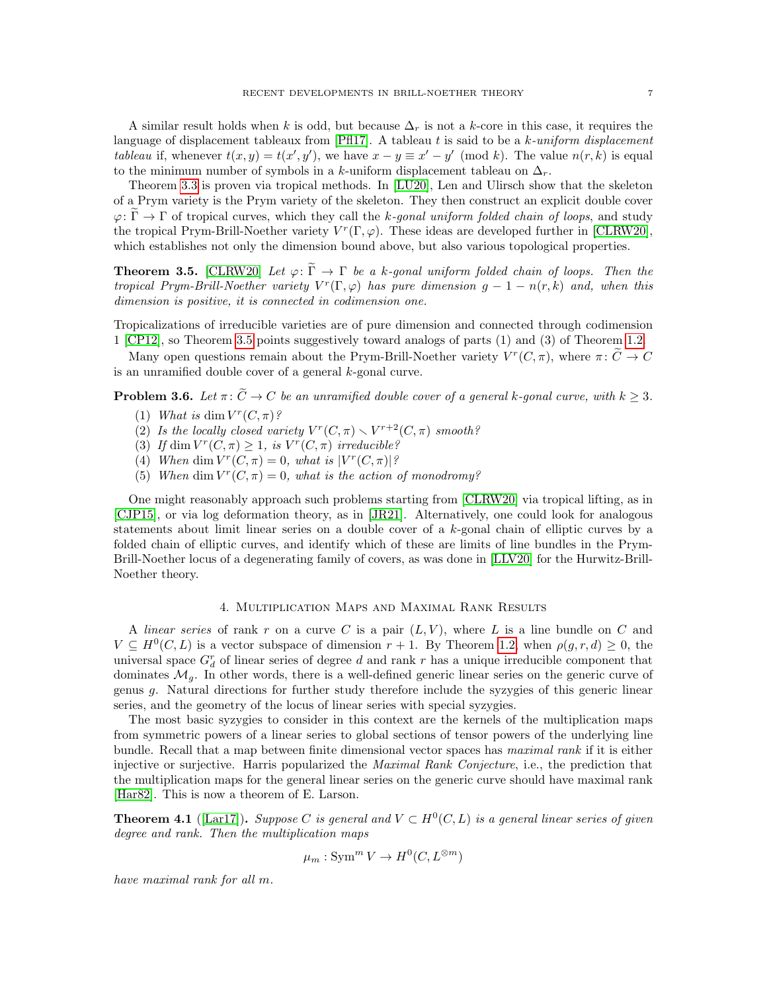A similar result holds when k is odd, but because  $\Delta_r$  is not a k-core in this case, it requires the language of displacement tableaux from  $[PH17]$ . A tableau t is said to be a k-uniform displacement tableau if, whenever  $t(x, y) = t(x', y')$ , we have  $x - y \equiv x' - y' \pmod{k}$ . The value  $n(r, k)$  is equal to the minimum number of symbols in a k-uniform displacement tableau on  $\Delta_r$ .

Theorem [3.3](#page-5-0) is proven via tropical methods. In [\[LU20\]](#page-9-21), Len and Ulirsch show that the skeleton of a Prym variety is the Prym variety of the skeleton. They then construct an explicit double cover  $\varphi: \Gamma \to \Gamma$  of tropical curves, which they call the k-gonal uniform folded chain of loops, and study the tropical Prym-Brill-Noether variety  $V^r(\Gamma, \varphi)$ . These ideas are developed further in [\[CLRW20\]](#page-8-11), which establishes not only the dimension bound above, but also various topological properties.

<span id="page-6-0"></span>**Theorem 3.5.** [\[CLRW20\]](#page-8-11) Let  $\varphi: \widetilde{\Gamma} \to \Gamma$  be a k-gonal uniform folded chain of loops. Then the tropical Prym-Brill-Noether variety  $V^r(\Gamma, \varphi)$  has pure dimension  $g - 1 - n(r, k)$  and, when this dimension is positive, it is connected in codimension one.

Tropicalizations of irreducible varieties are of pure dimension and connected through codimension 1 [\[CP12\]](#page-8-12), so Theorem [3.5](#page-6-0) points suggestively toward analogs of parts (1) and (3) of Theorem [1.2.](#page-0-0)

Many open questions remain about the Prym-Brill-Noether variety  $V^r(C, \pi)$ , where  $\pi: \widetilde{C} \to C$ is an unramified double cover of a general k-gonal curve.

**Problem 3.6.** Let  $\pi: \widetilde{C} \to C$  be an unramified double cover of a general k-gonal curve, with  $k \geq 3$ .

- (1) What is dim  $V^r(C, \pi)$ ?
- (2) Is the locally closed variety  $V^r(C, \pi) \setminus V^{r+2}(C, \pi)$  smooth?
- (3) If dim  $V^r(C, \pi) \geq 1$ , is  $V^r(C, \pi)$  irreducible?
- (4) When dim  $V^r(C, \pi) = 0$ , what is  $|V^r(C, \pi)|$ ?
- (5) When dim  $V^r(C, \pi) = 0$ , what is the action of monodromy?

One might reasonably approach such problems starting from [\[CLRW20\]](#page-8-11) via tropical lifting, as in [\[CJP15\]](#page-8-13), or via log deformation theory, as in [\[JR21\]](#page-9-15). Alternatively, one could look for analogous statements about limit linear series on a double cover of a k-gonal chain of elliptic curves by a folded chain of elliptic curves, and identify which of these are limits of line bundles in the Prym-Brill-Noether locus of a degenerating family of covers, as was done in [\[LLV20\]](#page-9-18) for the Hurwitz-Brill-Noether theory.

## 4. Multiplication Maps and Maximal Rank Results

A linear series of rank r on a curve C is a pair  $(L, V)$ , where L is a line bundle on C and  $V \subseteq H^0(C, L)$  is a vector subspace of dimension  $r + 1$ . By Theorem [1.2,](#page-0-0) when  $\rho(g, r, d) \geq 0$ , the universal space  $G_d^r$  of linear series of degree d and rank r has a unique irreducible component that dominates  $\mathcal{M}_q$ . In other words, there is a well-defined generic linear series on the generic curve of genus g. Natural directions for further study therefore include the syzygies of this generic linear series, and the geometry of the locus of linear series with special syzygies.

The most basic syzygies to consider in this context are the kernels of the multiplication maps from symmetric powers of a linear series to global sections of tensor powers of the underlying line bundle. Recall that a map between finite dimensional vector spaces has maximal rank if it is either injective or surjective. Harris popularized the Maximal Rank Conjecture, i.e., the prediction that the multiplication maps for the general linear series on the generic curve should have maximal rank [\[Har82\]](#page-9-22). This is now a theorem of E. Larson.

<span id="page-6-1"></span>**Theorem 4.1** ([\[Lar17\]](#page-9-23)). Suppose C is general and  $V \subset H^0(C, L)$  is a general linear series of given degree and rank. Then the multiplication maps

$$
\mu_m: \operatorname{Sym}^m V \to H^0(C, L^{\otimes m})
$$

have maximal rank for all m.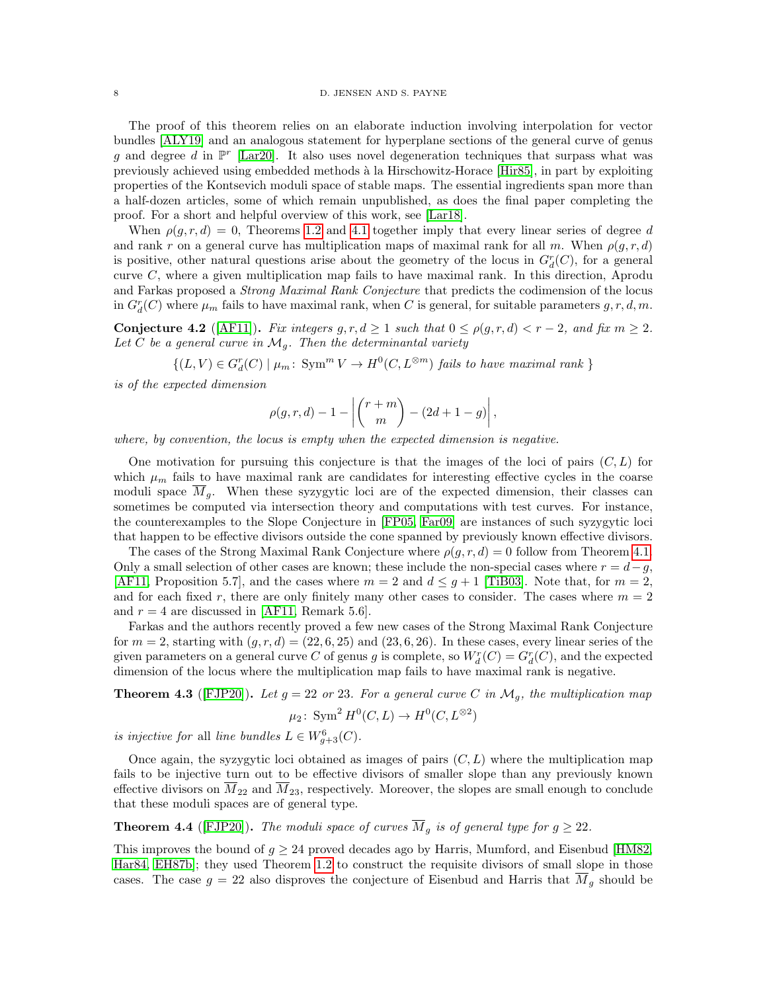The proof of this theorem relies on an elaborate induction involving interpolation for vector bundles [\[ALY19\]](#page-8-14) and an analogous statement for hyperplane sections of the general curve of genus g and degree d in  $\mathbb{P}^r$  [\[Lar20\]](#page-9-24). It also uses novel degeneration techniques that surpass what was previously achieved using embedded methods `a la Hirschowitz-Horace [\[Hir85\]](#page-9-25), in part by exploiting properties of the Kontsevich moduli space of stable maps. The essential ingredients span more than a half-dozen articles, some of which remain unpublished, as does the final paper completing the proof. For a short and helpful overview of this work, see [\[Lar18\]](#page-9-26).

When  $\rho(q, r, d) = 0$ , Theorems [1.2](#page-0-0) and [4.1](#page-6-1) together imply that every linear series of degree d and rank r on a general curve has multiplication maps of maximal rank for all m. When  $\rho(g, r, d)$ is positive, other natural questions arise about the geometry of the locus in  $G_d^r(C)$ , for a general curve C, where a given multiplication map fails to have maximal rank. In this direction, Aprodu and Farkas proposed a Strong Maximal Rank Conjecture that predicts the codimension of the locus in  $G_d^r(C)$  where  $\mu_m$  fails to have maximal rank, when C is general, for suitable parameters  $g, r, d, m$ .

Conjecture 4.2 ([\[AF11\]](#page-8-15)). Fix integers  $g, r, d \ge 1$  such that  $0 \le \rho(g, r, d) < r - 2$ , and fix  $m \ge 2$ . Let C be a general curve in  $\mathcal{M}_q$ . Then the determinantal variety

 $\{(L, V) \in G_d^r(C) \mid \mu_m: \text{Sym}^m V \to H^0(C, L^{\otimes m}) \text{ fails to have maximal rank }\}$ 

is of the expected dimension

$$
\rho(g, r, d) - 1 - \left| \binom{r + m}{m} - (2d + 1 - g) \right|,
$$

where, by convention, the locus is empty when the expected dimension is negative.

One motivation for pursuing this conjecture is that the images of the loci of pairs  $(C, L)$  for which  $\mu_m$  fails to have maximal rank are candidates for interesting effective cycles in the coarse moduli space  $M<sub>g</sub>$ . When these syzygytic loci are of the expected dimension, their classes can sometimes be computed via intersection theory and computations with test curves. For instance, the counterexamples to the Slope Conjecture in [\[FP05,](#page-9-27) [Far09\]](#page-9-28) are instances of such syzygytic loci that happen to be effective divisors outside the cone spanned by previously known effective divisors.

The cases of the Strong Maximal Rank Conjecture where  $\rho(q, r, d) = 0$  follow from Theorem [4.1.](#page-6-1) Only a small selection of other cases are known; these include the non-special cases where  $r = d-g$ , [\[AF11,](#page-8-15) Proposition 5.7], and the cases where  $m = 2$  and  $d \leq g + 1$  [\[TiB03\]](#page-10-3). Note that, for  $m = 2$ , and for each fixed r, there are only finitely many other cases to consider. The cases where  $m = 2$ and  $r = 4$  are discussed in [\[AF11,](#page-8-15) Remark 5.6].

Farkas and the authors recently proved a few new cases of the Strong Maximal Rank Conjecture for  $m = 2$ , starting with  $(g, r, d) = (22, 6, 25)$  and  $(23, 6, 26)$ . In these cases, every linear series of the given parameters on a general curve C of genus g is complete, so  $W_d^r(C) = G_d^r(C)$ , and the expected dimension of the locus where the multiplication map fails to have maximal rank is negative.

<span id="page-7-0"></span>**Theorem 4.3** ([\[FJP20\]](#page-9-29)). Let  $g = 22$  or 23. For a general curve C in  $\mathcal{M}_g$ , the multiplication map

$$
\mu_2\colon \operatorname{Sym}^2 H^0(C, L) \to H^0(C, L^{\otimes 2})
$$

is injective for all line bundles  $L \in W_{g+3}^6(C)$ .

Once again, the syzygytic loci obtained as images of pairs  $(C, L)$  where the multiplication map fails to be injective turn out to be effective divisors of smaller slope than any previously known effective divisors on  $\overline{M}_{22}$  and  $\overline{M}_{23}$ , respectively. Moreover, the slopes are small enough to conclude that these moduli spaces are of general type.

**Theorem 4.4** ([\[FJP20\]](#page-9-29)). The moduli space of curves  $\overline{M}_q$  is of general type for  $g \geq 22$ .

This improves the bound of  $q \ge 24$  proved decades ago by Harris, Mumford, and Eisenbud [\[HM82,](#page-9-30) [Har84,](#page-9-31) [EH87b\]](#page-9-32); they used Theorem [1.2](#page-0-0) to construct the requisite divisors of small slope in those cases. The case  $g = 22$  also disproves the conjecture of Eisenbud and Harris that  $\overline{M}_g$  should be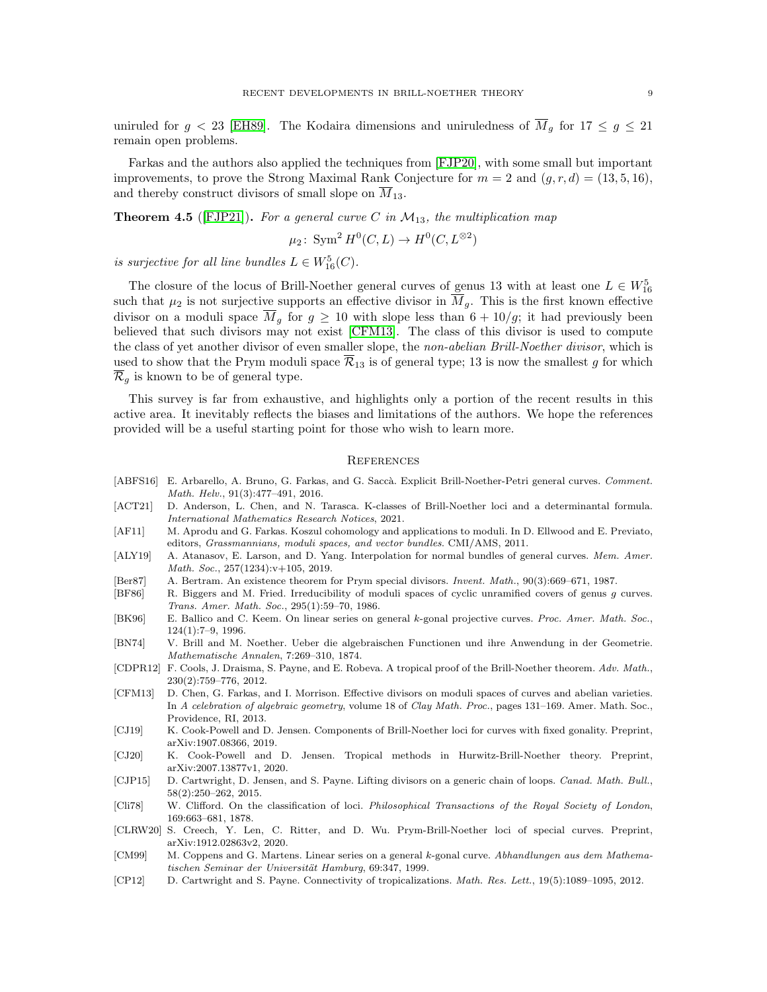uniruled for  $g < 23$  [\[EH89\]](#page-9-33). The Kodaira dimensions and uniruledness of  $\overline{M}_g$  for  $17 \le g \le 21$ remain open problems.

Farkas and the authors also applied the techniques from [\[FJP20\]](#page-9-29), with some small but important improvements, to prove the Strong Maximal Rank Conjecture for  $m = 2$  and  $(q, r, d) = (13, 5, 16)$ , and thereby construct divisors of small slope on  $\overline{M}_{13}$ .

**Theorem 4.5** ([\[FJP21\]](#page-9-34)). For a general curve C in  $\mathcal{M}_{13}$ , the multiplication map

$$
\mu_2\colon \operatorname{Sym}^2 H^0(C, L) \to H^0(C, L^{\otimes 2})
$$

is surjective for all line bundles  $L \in W^5_{16}(C)$ .

The closure of the locus of Brill-Noether general curves of genus 13 with at least one  $L \in W_{16}^5$ such that  $\mu_2$  is not surjective supports an effective divisor in  $\overline{M}_g$ . This is the first known effective divisor on a moduli space  $\overline{M}_g$  for  $g \ge 10$  with slope less than  $6 + 10/g$ ; it had previously been believed that such divisors may not exist [\[CFM13\]](#page-8-16). The class of this divisor is used to compute the class of yet another divisor of even smaller slope, the non-abelian Brill-Noether divisor, which is used to show that the Prym moduli space  $\overline{\mathcal{R}}_{13}$  is of general type; 13 is now the smallest g for which  $\mathcal{R}_q$  is known to be of general type.

This survey is far from exhaustive, and highlights only a portion of the recent results in this active area. It inevitably reflects the biases and limitations of the authors. We hope the references provided will be a useful starting point for those who wish to learn more.

## **REFERENCES**

- <span id="page-8-1"></span>[ABFS16] E. Arbarello, A. Bruno, G. Farkas, and G. Saccà. Explicit Brill-Noether-Petri general curves. Comment. Math. Helv., 91(3):477–491, 2016.
- <span id="page-8-2"></span>[ACT21] D. Anderson, L. Chen, and N. Tarasca. K-classes of Brill-Noether loci and a determinantal formula. International Mathematics Research Notices, 2021.
- <span id="page-8-15"></span>[AF11] M. Aprodu and G. Farkas. Koszul cohomology and applications to moduli. In D. Ellwood and E. Previato, editors, Grassmannians, moduli spaces, and vector bundles. CMI/AMS, 2011.
- <span id="page-8-14"></span>[ALY19] A. Atanasov, E. Larson, and D. Yang. Interpolation for normal bundles of general curves. Mem. Amer. Math. Soc., 257(1234):v+105, 2019.
- <span id="page-8-9"></span>[Ber87] A. Bertram. An existence theorem for Prym special divisors. Invent. Math., 90(3):669–671, 1987.
- <span id="page-8-10"></span>[BF86] R. Biggers and M. Fried. Irreducibility of moduli spaces of cyclic unramified covers of genus g curves. Trans. Amer. Math. Soc., 295(1):59–70, 1986.
- <span id="page-8-5"></span>[BK96] E. Ballico and C. Keem. On linear series on general k-gonal projective curves. Proc. Amer. Math. Soc., 124(1):7–9, 1996.
- <span id="page-8-0"></span>[BN74] V. Brill and M. Noether. Ueber die algebraischen Functionen und ihre Anwendung in der Geometrie. Mathematische Annalen, 7:269–310, 1874.
- <span id="page-8-3"></span>[CDPR12] F. Cools, J. Draisma, S. Payne, and E. Robeva. A tropical proof of the Brill-Noether theorem. Adv. Math., 230(2):759–776, 2012.
- <span id="page-8-16"></span>[CFM13] D. Chen, G. Farkas, and I. Morrison. Effective divisors on moduli spaces of curves and abelian varieties. In A celebration of algebraic geometry, volume 18 of Clay Math. Proc., pages 131–169. Amer. Math. Soc., Providence, RI, 2013.
- <span id="page-8-7"></span>[CJ19] K. Cook-Powell and D. Jensen. Components of Brill-Noether loci for curves with fixed gonality. Preprint, arXiv:1907.08366, 2019.
- <span id="page-8-8"></span>[CJ20] K. Cook-Powell and D. Jensen. Tropical methods in Hurwitz-Brill-Noether theory. Preprint, arXiv:2007.13877v1, 2020.
- <span id="page-8-13"></span>[CJP15] D. Cartwright, D. Jensen, and S. Payne. Lifting divisors on a generic chain of loops. Canad. Math. Bull., 58(2):250–262, 2015.
- <span id="page-8-4"></span>[Cli78] W. Clifford. On the classification of loci. Philosophical Transactions of the Royal Society of London, 169:663–681, 1878.
- <span id="page-8-11"></span>[CLRW20] S. Creech, Y. Len, C. Ritter, and D. Wu. Prym-Brill-Noether loci of special curves. Preprint, arXiv:1912.02863v2, 2020.
- <span id="page-8-6"></span>[CM99] M. Coppens and G. Martens. Linear series on a general k-gonal curve. Abhandlungen aus dem Mathematischen Seminar der Universität Hamburg, 69:347, 1999.
- <span id="page-8-12"></span>[CP12] D. Cartwright and S. Payne. Connectivity of tropicalizations. Math. Res. Lett., 19(5):1089–1095, 2012.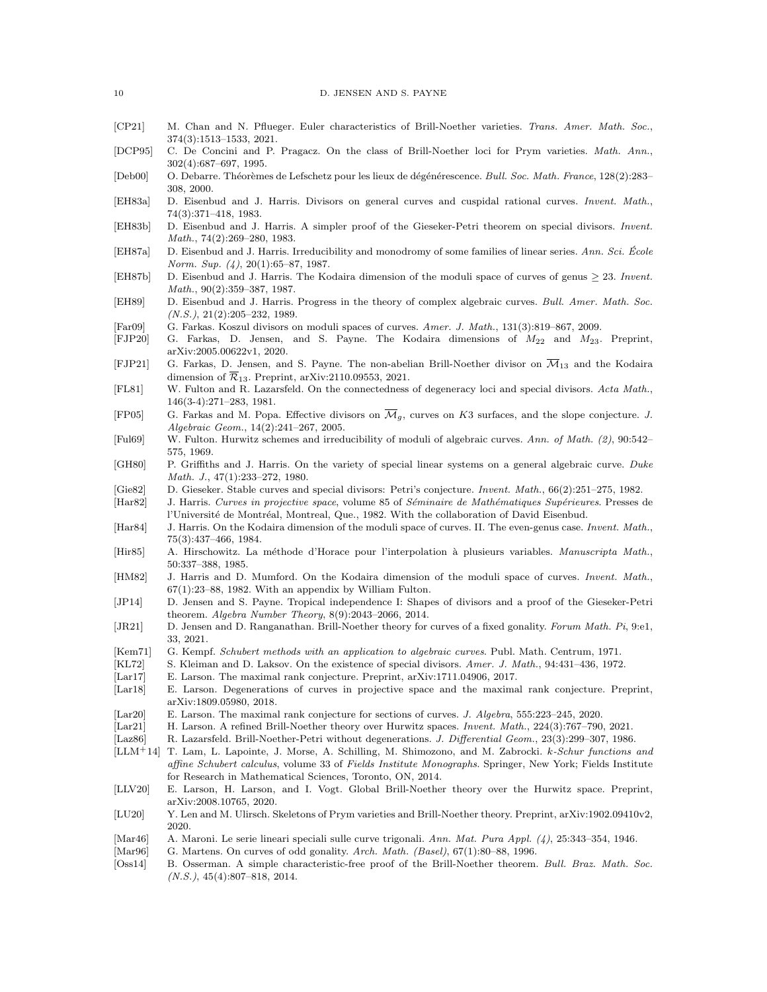- <span id="page-9-7"></span>[CP21] M. Chan and N. Pflueger. Euler characteristics of Brill-Noether varieties. Trans. Amer. Math. Soc., 374(3):1513–1533, 2021.
- <span id="page-9-20"></span>[DCP95] C. De Concini and P. Pragacz. On the class of Brill-Noether loci for Prym varieties. Math. Ann., 302(4):687–697, 1995.
- <span id="page-9-19"></span>[Deb00] O. Debarre. Théorèmes de Lefschetz pour les lieux de dégénérescence. Bull. Soc. Math. France, 128(2):283– 308, 2000.
- <span id="page-9-8"></span>[EH83a] D. Eisenbud and J. Harris. Divisors on general curves and cuspidal rational curves. Invent. Math., 74(3):371–418, 1983.
- <span id="page-9-9"></span>[EH83b] D. Eisenbud and J. Harris. A simpler proof of the Gieseker-Petri theorem on special divisors. Invent. Math., 74(2):269–280, 1983.
- <span id="page-9-5"></span>[EH87a] D. Eisenbud and J. Harris. Irreducibility and monodromy of some families of linear series. Ann. Sci. Ecole Norm. Sup. (4), 20(1):65–87, 1987.
- <span id="page-9-32"></span>[EH87b] D. Eisenbud and J. Harris. The Kodaira dimension of the moduli space of curves of genus ≥ 23. Invent. Math., 90(2):359–387, 1987.
- <span id="page-9-33"></span>[EH89] D. Eisenbud and J. Harris. Progress in the theory of complex algebraic curves. Bull. Amer. Math. Soc.  $(N.S.), 21(2):205-232, 1989.$
- <span id="page-9-28"></span>[Far09] G. Farkas. Koszul divisors on moduli spaces of curves. Amer. J. Math., 131(3):819–867, 2009.
- <span id="page-9-29"></span>[FJP20] G. Farkas, D. Jensen, and S. Payne. The Kodaira dimensions of M<sup>22</sup> and M23. Preprint, arXiv:2005.00622v1, 2020.
- <span id="page-9-34"></span>[FJP21] G. Farkas, D. Jensen, and S. Payne. The non-abelian Brill-Noether divisor on  $\overline{\mathcal{M}}_{13}$  and the Kodaira dimension of  $\overline{\mathcal{R}}_{13}$ . Preprint, arXiv:2110.09553, 2021.
- <span id="page-9-2"></span>[FL81] W. Fulton and R. Lazarsfeld. On the connectedness of degeneracy loci and special divisors. Acta Math., 146(3-4):271–283, 1981.
- <span id="page-9-27"></span>[FP05] G. Farkas and M. Popa. Effective divisors on  $\overline{\mathcal{M}}_q$ , curves on K3 surfaces, and the slope conjecture. J. Algebraic Geom., 14(2):241–267, 2005.
- <span id="page-9-12"></span>[Ful69] W. Fulton. Hurwitz schemes and irreducibility of moduli of algebraic curves. Ann. of Math. (2), 90:542– 575, 1969.
- <span id="page-9-0"></span>[GH80] P. Griffiths and J. Harris. On the variety of special linear systems on a general algebraic curve. Duke Math. J., 47(1):233–272, 1980.
- <span id="page-9-1"></span>[Gie82] D. Gieseker. Stable curves and special divisors: Petri's conjecture. Invent. Math., 66(2):251–275, 1982.

<span id="page-9-22"></span>[Har82] J. Harris. Curves in projective space, volume 85 of Séminaire de Mathématiques Supérieures. Presses de l'Université de Montréal, Montreal, Que., 1982. With the collaboration of David Eisenbud.

- <span id="page-9-31"></span>[Har84] J. Harris. On the Kodaira dimension of the moduli space of curves. II. The even-genus case. Invent. Math., 75(3):437–466, 1984.
- <span id="page-9-25"></span>[Hir85] A. Hirschowitz. La méthode d'Horace pour l'interpolation à plusieurs variables. Manuscripta Math., 50:337–388, 1985.
- <span id="page-9-30"></span>[HM82] J. Harris and D. Mumford. On the Kodaira dimension of the moduli space of curves. Invent. Math.,  $67(1):23-88$ , 1982. With an appendix by William Fulton.
- <span id="page-9-11"></span>[JP14] D. Jensen and S. Payne. Tropical independence I: Shapes of divisors and a proof of the Gieseker-Petri theorem. Algebra Number Theory, 8(9):2043–2066, 2014.
- <span id="page-9-15"></span>[JR21] D. Jensen and D. Ranganathan. Brill-Noether theory for curves of a fixed gonality. Forum Math. Pi, 9:e1, 33, 2021.
- <span id="page-9-3"></span>[Kem71] G. Kempf. Schubert methods with an application to algebraic curves. Publ. Math. Centrum, 1971.
- <span id="page-9-4"></span>[KL72] S. Kleiman and D. Laksov. On the existence of special divisors. Amer. J. Math., 94:431–436, 1972.
- <span id="page-9-23"></span>[Lar17] E. Larson. The maximal rank conjecture. Preprint, arXiv:1711.04906, 2017.
- <span id="page-9-26"></span>[Lar18] E. Larson. Degenerations of curves in projective space and the maximal rank conjecture. Preprint, arXiv:1809.05980, 2018.
- <span id="page-9-24"></span>[Lar20] E. Larson. The maximal rank conjecture for sections of curves. J. Algebra, 555:223–245, 2020.
- <span id="page-9-16"></span>[Lar21] H. Larson. A refined Brill-Noether theory over Hurwitz spaces. Invent. Math., 224(3):767–790, 2021.
- <span id="page-9-6"></span>[Laz86] R. Lazarsfeld. Brill-Noether-Petri without degenerations. J. Differential Geom., 23(3):299–307, 1986.
- <span id="page-9-17"></span>[LLM+14] T. Lam, L. Lapointe, J. Morse, A. Schilling, M. Shimozono, and M. Zabrocki. k-Schur functions and affine Schubert calculus, volume 33 of Fields Institute Monographs. Springer, New York; Fields Institute for Research in Mathematical Sciences, Toronto, ON, 2014.
- <span id="page-9-18"></span>[LLV20] E. Larson, H. Larson, and I. Vogt. Global Brill-Noether theory over the Hurwitz space. Preprint, arXiv:2008.10765, 2020.
- <span id="page-9-21"></span>[LU20] Y. Len and M. Ulirsch. Skeletons of Prym varieties and Brill-Noether theory. Preprint, arXiv:1902.09410v2, 2020.
- <span id="page-9-13"></span>[Mar46] A. Maroni. Le serie lineari speciali sulle curve trigonali. Ann. Mat. Pura Appl. (4), 25:343–354, 1946.
- <span id="page-9-14"></span>[Mar96] G. Martens. On curves of odd gonality. Arch. Math. (Basel), 67(1):80–88, 1996.
- <span id="page-9-10"></span>[Oss14] B. Osserman. A simple characteristic-free proof of the Brill-Noether theorem. Bull. Braz. Math. Soc.  $(N.S.), 45(4):807-818, 2014.$